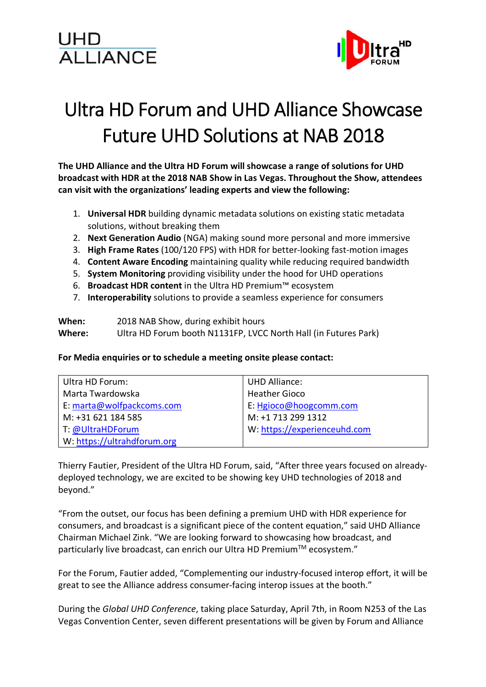## UHD<br>ALLIANCE



## Ultra HD Forum and UHD Alliance Showcase Future UHD Solutions at NAB 2018

**The UHD Alliance and the Ultra HD Forum will showcase a range of solutions for UHD broadcast with HDR at the 2018 NAB Show in Las Vegas. Throughout the Show, attendees can visit with the organizations' leading experts and view the following:** 

- 1. **Universal HDR** building dynamic metadata solutions on existing static metadata solutions, without breaking them
- 2. **Next Generation Audio** (NGA) making sound more personal and more immersive
- 3. **High Frame Rates** (100/120 FPS) with HDR for better-looking fast-motion images
- 4. **Content Aware Encoding** maintaining quality while reducing required bandwidth
- 5. **System Monitoring** providing visibility under the hood for UHD operations
- 6. **Broadcast HDR content** in the Ultra HD Premium™ ecosystem
- 7. **Interoperability** solutions to provide a seamless experience for consumers

**When:** 2018 NAB Show, during exhibit hours **Where:** Ultra HD Forum booth N1131FP, LVCC North Hall (in Futures Park)

## **For Media enquiries or to schedule a meeting onsite please contact:**

| Ultra HD Forum:             | <b>UHD Alliance:</b>         |
|-----------------------------|------------------------------|
| Marta Twardowska            | <b>Heather Gioco</b>         |
| E: marta@wolfpackcoms.com   | E: Hgioco@hoogcomm.com       |
| M: +31 621 184 585          | M: +1 713 299 1312           |
| T: @UltraHDForum            | W: https://experienceuhd.com |
| W: https://ultrahdforum.org |                              |

Thierry Fautier, President of the Ultra HD Forum, said, "After three years focused on alreadydeployed technology, we are excited to be showing key UHD technologies of 2018 and beyond."

"From the outset, our focus has been defining a premium UHD with HDR experience for consumers, and broadcast is a significant piece of the content equation," said UHD Alliance Chairman Michael Zink. "We are looking forward to showcasing how broadcast, and particularly live broadcast, can enrich our Ultra HD Premium™ ecosystem."

For the Forum, Fautier added, "Complementing our industry-focused interop effort, it will be great to see the Alliance address consumer-facing interop issues at the booth."

During the *Global UHD Conference*, taking place Saturday, April 7th, in Room N253 of the Las Vegas Convention Center, seven different presentations will be given by Forum and Alliance